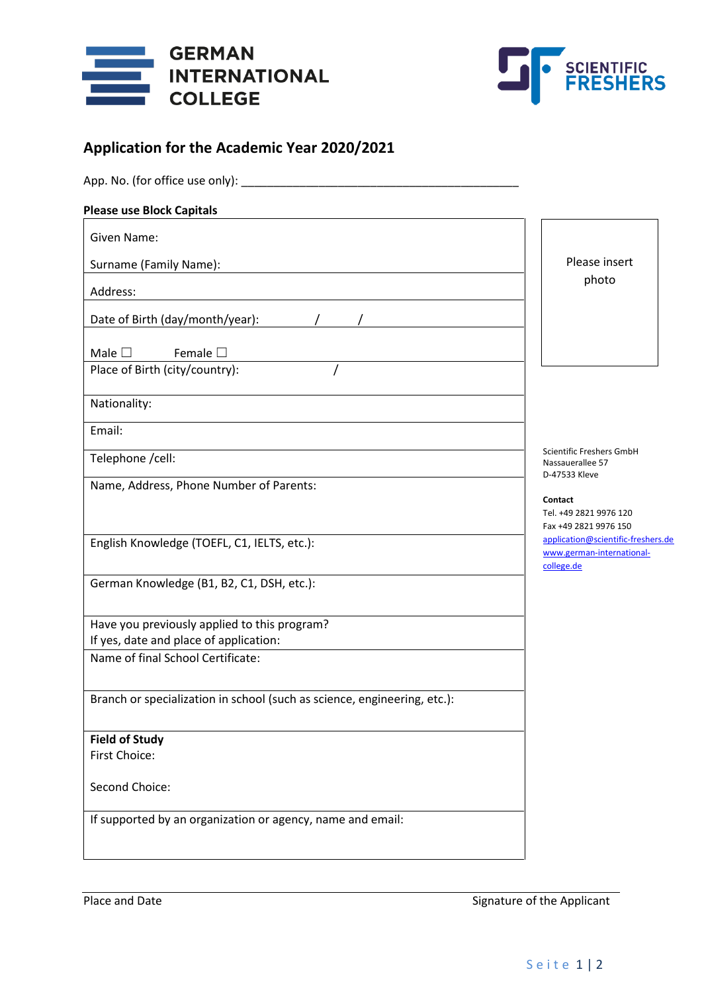



# **Application for the Academic Year 2020/2021**

| App. No. (for office use only):                                             |                                                                 |
|-----------------------------------------------------------------------------|-----------------------------------------------------------------|
| <b>Please use Block Capitals</b>                                            |                                                                 |
| Given Name:                                                                 |                                                                 |
| Surname (Family Name):                                                      | Please insert                                                   |
|                                                                             | photo                                                           |
| Address:                                                                    |                                                                 |
| Date of Birth (day/month/year):                                             |                                                                 |
| Male $\square$<br>Female $\square$                                          |                                                                 |
| Place of Birth (city/country):                                              |                                                                 |
|                                                                             |                                                                 |
| Nationality:                                                                |                                                                 |
| Email:                                                                      |                                                                 |
| Telephone /cell:                                                            | Scientific Freshers GmbH                                        |
|                                                                             | Nassauerallee 57<br>D-47533 Kleve                               |
| Name, Address, Phone Number of Parents:                                     | Contact                                                         |
|                                                                             | Tel. +49 2821 9976 120                                          |
|                                                                             | Fax +49 2821 9976 150                                           |
| English Knowledge (TOEFL, C1, IELTS, etc.):                                 | application@scientific-freshers.de<br>www.german-international- |
|                                                                             | college.de                                                      |
| German Knowledge (B1, B2, C1, DSH, etc.):                                   |                                                                 |
|                                                                             |                                                                 |
| Have you previously applied to this program?                                |                                                                 |
| If yes, date and place of application:<br>Name of final School Certificate: |                                                                 |
|                                                                             |                                                                 |
| Branch or specialization in school (such as science, engineering, etc.):    |                                                                 |
|                                                                             |                                                                 |
| <b>Field of Study</b>                                                       |                                                                 |
| First Choice:                                                               |                                                                 |
|                                                                             |                                                                 |
| Second Choice:                                                              |                                                                 |
| If supported by an organization or agency, name and email:                  |                                                                 |
|                                                                             |                                                                 |
|                                                                             |                                                                 |